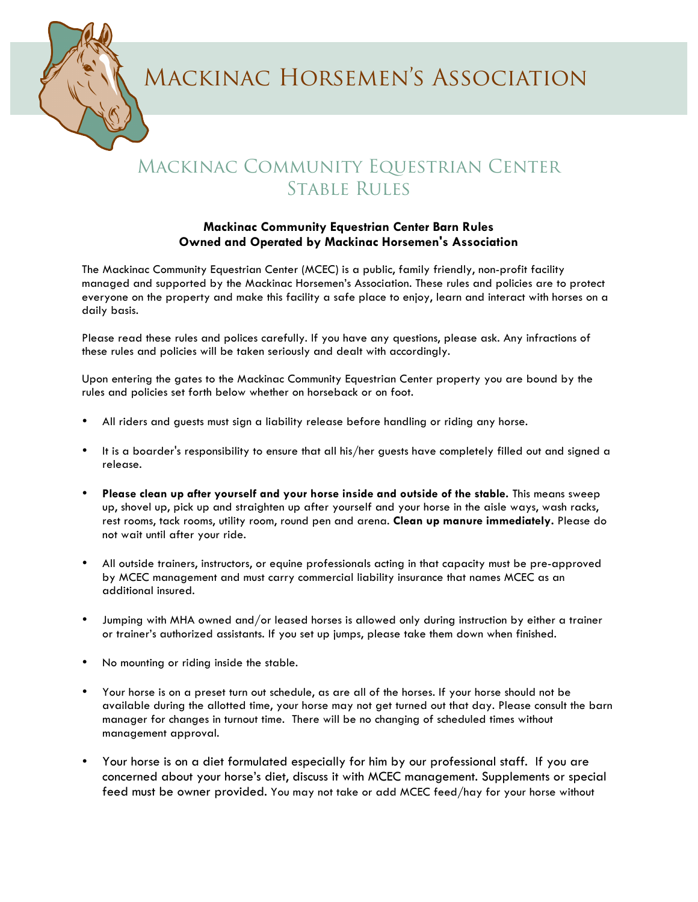Mackinac Horsemen's Association

## Mackinac Community Equestrian Center Stable Rules

## **Mackinac Community Equestrian Center Barn Rules Owned and Operated by Mackinac Horsemen's Association**

The Mackinac Community Equestrian Center (MCEC) is a public, family friendly, non-profit facility managed and supported by the Mackinac Horsemen's Association. These rules and policies are to protect everyone on the property and make this facility a safe place to enjoy, learn and interact with horses on a daily basis.

Please read these rules and polices carefully. If you have any questions, please ask. Any infractions of these rules and policies will be taken seriously and dealt with accordingly.

Upon entering the gates to the Mackinac Community Equestrian Center property you are bound by the rules and policies set forth below whether on horseback or on foot.

- All riders and guests must sign a liability release before handling or riding any horse.
- It is a boarder's responsibility to ensure that all his/her guests have completely filled out and signed a release.
- **Please clean up after yourself and your horse inside and outside of the stable.** This means sweep up, shovel up, pick up and straighten up after yourself and your horse in the aisle ways, wash racks, rest rooms, tack rooms, utility room, round pen and arena. **Clean up manure immediately.** Please do not wait until after your ride.
- All outside trainers, instructors, or equine professionals acting in that capacity must be pre-approved by MCEC management and must carry commercial liability insurance that names MCEC as an additional insured.
- Jumping with MHA owned and/or leased horses is allowed only during instruction by either a trainer or trainer's authorized assistants. If you set up jumps, please take them down when finished.
- No mounting or riding inside the stable.
- Your horse is on a preset turn out schedule, as are all of the horses. If your horse should not be available during the allotted time, your horse may not get turned out that day. Please consult the barn manager for changes in turnout time. There will be no changing of scheduled times without management approval.
- Your horse is on a diet formulated especially for him by our professional staff. If you are concerned about your horse's diet, discuss it with MCEC management. Supplements or special feed must be owner provided. You may not take or add MCEC feed/hay for your horse without